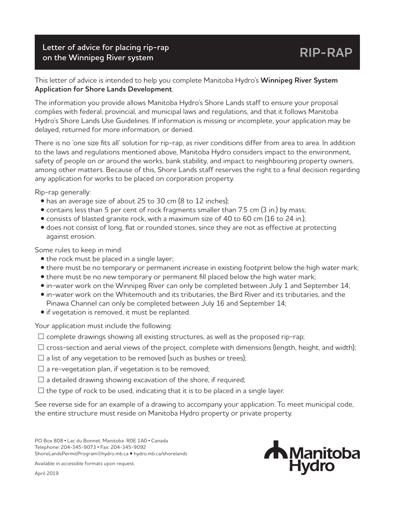**Letter of advice for placing rip-rap on the Winnipeg River system**

## This letter of advice is intended to help you complete Manitoba Hydro's **Winnipeg River System Application for Shore Lands Development**.

The information you provide allows Manitoba Hydro's Shore Lands staff to ensure your proposal complies with federal, provincial, and municipal laws and regulations, and that it follows Manitoba Hydro's Shore Lands Use Guidelines. If information is missing or incomplete, your application may be delayed, returned for more information, or denied.

There is no 'one size fits all' solution for rip-rap, as river conditions differ from area to area. In addition to the laws and regulations mentioned above, Manitoba Hydro considers impact to the environment, safety of people on or around the works, bank stability, and impact to neighbouring property owners, among other matters. Because of this, Shore Lands staff reserves the right to a final decision regarding any application for works to be placed on corporation property.

Rip-rap generally:

- has an average size of about 25 to 30 cm (8 to 12 inches);
- contains less than 5 per cent of rock fragments smaller than 7.5 cm (3 in.) by mass;
- consists of blasted granite rock, with a maximum size of 40 to 60 cm (16 to 24 in.);
- does not consist of long, flat or rounded stones, since they are not as effective at protecting against erosion.

Some rules to keep in mind:

- the rock must be placed in a single layer;
- there must be no temporary or permanent increase in existing footprint below the high water mark;
- there must be no new temporary or permanent fill placed below the high water mark;
- in-water work on the Winnipeg River can only be completed between July 1 and September 14;
- in-water work on the Whitemouth and its tributaries, the Bird River and its tributaries, and the Pinawa Channel can only be completed between July 16 and September 14;
- if vegetation is removed, it must be replanted.

Your application must include the following:

- $\square$  complete drawings showing all existing structures, as well as the proposed rip-rap;
- $\Box$  cross-section and aerial views of the project, complete with dimensions (length, height, and width);
- $\square$  a list of any vegetation to be removed (such as bushes or trees);
- $\square$  a re-vegetation plan, if vegetation is to be removed;
- $\square$  a detailed drawing showing excavation of the shore, if required;
- $\square$  the type of rock to be used, indicating that it is to be placed in a single layer.

See reverse side for an example of a drawing to accompany your application. To meet municipal code, the entire structure must reside on Manitoba Hydro property or private property.

PO Box 808 • Lac du Bonnet, Manitoba R0E 1A0 • Canada Telephone: 204-345-9073 • Fax: 204-345-9092 ShoreLandsPermitProgram@hydro.mb.ca • hydro.mb.ca/shorelands

Available in accessible formats upon request.